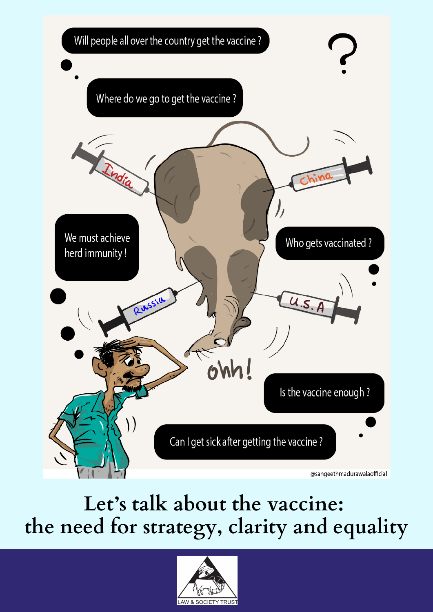

**Let's talk about the vaccine: the need for strategy, clarity and equality**

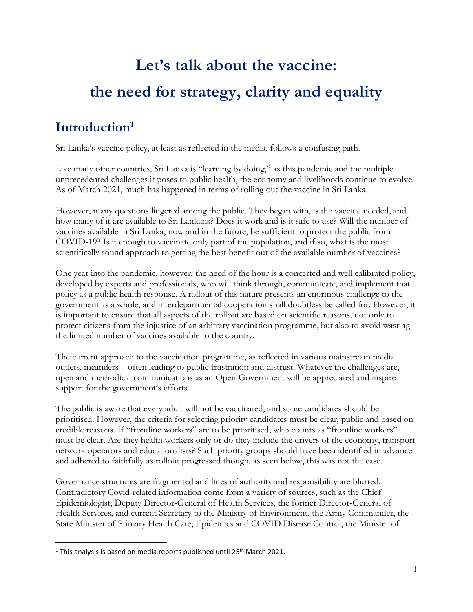# **Let's talk about the vaccine: the need for strategy, clarity and equality**

# **Introduction<sup>1</sup>**

Sri Lanka's vaccine policy, at least as reflected in the media, follows a confusing path.

Like many other countries, Sri Lanka is "learning by doing," as this pandemic and the multiple unprecedented challenges it poses to public health, the economy and livelihoods continue to evolve. As of March 2021, much has happened in terms of rolling out the vaccine in Sri Lanka.

However, many questions lingered among the public. They began with, is the vaccine needed, and how many of it are available to Sri Lankans? Does it work and is it safe to use? Will the number of vaccines available in Sri Lanka, now and in the future, be sufficient to protect the public from COVID-19? Is it enough to vaccinate only part of the population, and if so, what is the most scientifically sound approach to getting the best benefit out of the available number of vaccines?

One year into the pandemic, however, the need of the hour is a concerted and well calibrated policy, developed by experts and professionals, who will think through, communicate, and implement that policy as a public health response. A rollout of this nature presents an enormous challenge to the government as a whole, and interdepartmental cooperation shall doubtless be called for. However, it is important to ensure that all aspects of the rollout are based on scientific reasons, not only to protect citizens from the injustice of an arbitrary vaccination programme, but also to avoid wasting the limited number of vaccines available to the country.

The current approach to the vaccination programme, as reflected in various mainstream media outlets, meanders – often leading to public frustration and distrust. Whatever the challenges are, open and methodical communications as an Open Government will be appreciated and inspire support for the government's efforts.

The public is aware that every adult will not be vaccinated, and some candidates should be prioritised. However, the criteria for selecting priority candidates must be clear, public and based on credible reasons. If "frontline workers" are to be prioritised, who counts as "frontline workers" must be clear. Are they health workers only or do they include the drivers of the economy, transport network operators and educationalists? Such priority groups should have been identified in advance and adhered to faithfully as rollout progressed though, as seen below, this was not the case.

Governance structures are fragmented and lines of authority and responsibility are blurred. Contradictory Covid-related information come from a variety of sources, such as the Chief Epidemiologist, Deputy Director-General of Health Services, the former Director-General of Health Services, and current Secretary to the Ministry of Environment, the Army Commander, the State Minister of Primary Health Care, Epidemics and COVID Disease Control, the Minister of

<sup>&</sup>lt;sup>1</sup> This analysis is based on media reports published until 25<sup>th</sup> March 2021.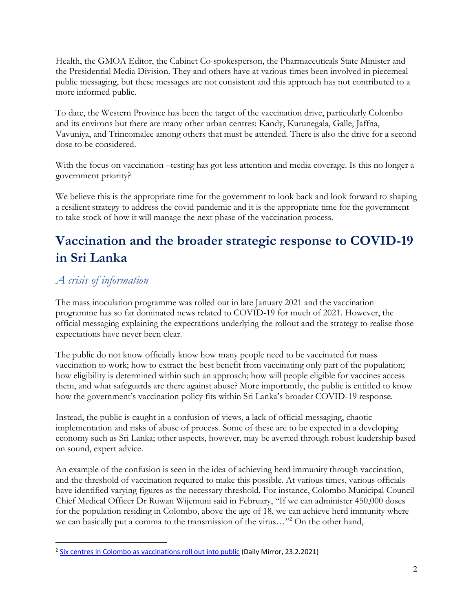Health, the GMOA Editor, the Cabinet Co-spokesperson, the Pharmaceuticals State Minister and the Presidential Media Division. They and others have at various times been involved in piecemeal public messaging, but these messages are not consistent and this approach has not contributed to a more informed public.

To date, the Western Province has been the target of the vaccination drive, particularly Colombo and its environs but there are many other urban centres: Kandy, Kurunegala, Galle, Jaffna, Vavuniya, and Trincomalee among others that must be attended. There is also the drive for a second dose to be considered.

With the focus on vaccination –testing has got less attention and media coverage. Is this no longer a government priority?

We believe this is the appropriate time for the government to look back and look forward to shaping a resilient strategy to address the covid pandemic and it is the appropriate time for the government to take stock of how it will manage the next phase of the vaccination process.

# **Vaccination and the broader strategic response to COVID-19 in Sri Lanka**

## *A crisis of information*

The mass inoculation programme was rolled out in late January 2021 and the vaccination programme has so far dominated news related to COVID-19 for much of 2021. However, the official messaging explaining the expectations underlying the rollout and the strategy to realise those expectations have never been clear.

The public do not know officially know how many people need to be vaccinated for mass vaccination to work; how to extract the best benefit from vaccinating only part of the population; how eligibility is determined within such an approach; how will people eligible for vaccines access them, and what safeguards are there against abuse? More importantly, the public is entitled to know how the government's vaccination policy fits within Sri Lanka's broader COVID-19 response.

Instead, the public is caught in a confusion of views, a lack of official messaging, chaotic implementation and risks of abuse of process. Some of these are to be expected in a developing economy such as Sri Lanka; other aspects, however, may be averted through robust leadership based on sound, expert advice.

An example of the confusion is seen in the idea of achieving herd immunity through vaccination, and the threshold of vaccination required to make this possible. At various times, various officials have identified varying figures as the necessary threshold. For instance, Colombo Municipal Council Chief Medical Officer Dr Ruwan Wijemuni said in February, "If we can administer 450,000 doses for the population residing in Colombo, above the age of 18, we can achieve herd immunity where we can basically put a comma to the transmission of the virus..."<sup>2</sup> On the other hand,

<sup>&</sup>lt;sup>2</sup> [Six centres in Colombo as vaccinations roll out into public](http://www.dailymirror.lk/print/front_page/Six-centres-in-Colombo-as-vaccinations-roll-out-into-public/238-206391) (Daily Mirror, 23.2.2021)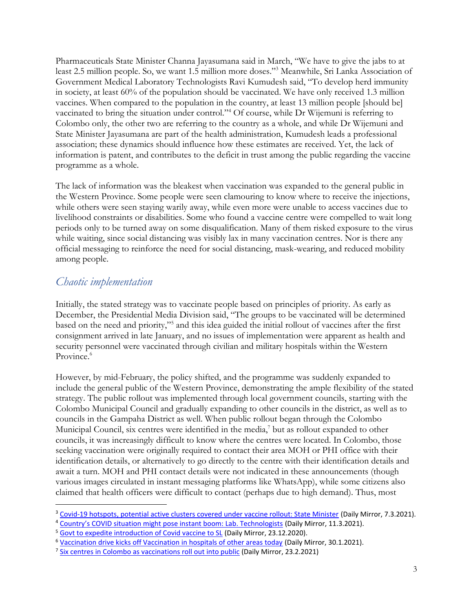Pharmaceuticals State Minister Channa Jayasumana said in March, "We have to give the jabs to at least 2.5 million people. So, we want 1.5 million more doses."<sup>3</sup> Meanwhile, Sri Lanka Association of Government Medical Laboratory Technologists Ravi Kumudesh said, "To develop herd immunity in society, at least 60% of the population should be vaccinated. We have only received 1.3 million vaccines. When compared to the population in the country, at least 13 million people [should be] vaccinated to bring the situation under control."<sup>4</sup> Of course, while Dr Wijemuni is referring to Colombo only, the other two are referring to the country as a whole, and while Dr Wijemuni and State Minister Jayasumana are part of the health administration, Kumudesh leads a professional association; these dynamics should influence how these estimates are received. Yet, the lack of information is patent, and contributes to the deficit in trust among the public regarding the vaccine programme as a whole.

The lack of information was the bleakest when vaccination was expanded to the general public in the Western Province. Some people were seen clamouring to know where to receive the injections, while others were seen staying warily away, while even more were unable to access vaccines due to livelihood constraints or disabilities. Some who found a vaccine centre were compelled to wait long periods only to be turned away on some disqualification. Many of them risked exposure to the virus while waiting, since social distancing was visibly lax in many vaccination centres. Nor is there any official messaging to reinforce the need for social distancing, mask-wearing, and reduced mobility among people.

#### *Chaotic implementation*

Initially, the stated strategy was to vaccinate people based on principles of priority. As early as December, the Presidential Media Division said, "The groups to be vaccinated will be determined based on the need and priority,"<sup>5</sup> and this idea guided the initial rollout of vaccines after the first consignment arrived in late January, and no issues of implementation were apparent as health and security personnel were vaccinated through civilian and military hospitals within the Western Province.<sup>6</sup>

However, by mid-February, the policy shifted, and the programme was suddenly expanded to include the general public of the Western Province, demonstrating the ample flexibility of the stated strategy. The public rollout was implemented through local government councils, starting with the Colombo Municipal Council and gradually expanding to other councils in the district, as well as to councils in the Gampaha District as well. When public rollout began through the Colombo Municipal Council, six centres were identified in the media,<sup>7</sup> but as rollout expanded to other councils, it was increasingly difficult to know where the centres were located. In Colombo, those seeking vaccination were originally required to contact their area MOH or PHI office with their identification details, or alternatively to go directly to the centre with their identification details and await a turn. MOH and PHI contact details were not indicated in these announcements (though various images circulated in instant messaging platforms like WhatsApp), while some citizens also claimed that health officers were difficult to contact (perhaps due to high demand). Thus, most

<sup>3</sup> [Covid-19 hotspots, potential active clusters covered under vaccine rollout: State Minister](http://www.dailymirror.lk/breaking_news/Covid-19-hotspots-potential-active-clusters-covered-under-vaccine-rollout-State-Minister/108-207201) (Daily Mirror, 7.3.2021).

<sup>4</sup> [Country's COVID situation might pose instant boom: Lab. Technologists](http://www.dailymirror.lk/breaking_news/Countrys-COVID-situation-might-pose-instant-boom-Lab-Technologists/108-207518) (Daily Mirror, 11.3.2021).

<sup>&</sup>lt;sup>5</sup> [Govt to expedite introduction of Covid vaccine to SL](http://www.dailymirror.lk/print/front_page/Govt-to-expedite-introduction-of-Covid-vaccine-to-SL/238-202331) (Daily Mirror, 23.12.2020).

<sup>&</sup>lt;sup>6</sup> [Vaccination drive kicks off Vaccination in hospitals of other areas today](http://www.dailymirror.lk/print/front_page/Vaccination-drive-kicks-off-Vaccination-in-hospitals-of-other-areas-today/238-204771) (Daily Mirror, 30.1.2021).

<sup>&</sup>lt;sup>7</sup> [Six centres in Colombo as vaccinations roll out into public](http://www.dailymirror.lk/print/front_page/Six-centres-in-Colombo-as-vaccinations-roll-out-into-public/238-206391) (Daily Mirror, 23.2.2021)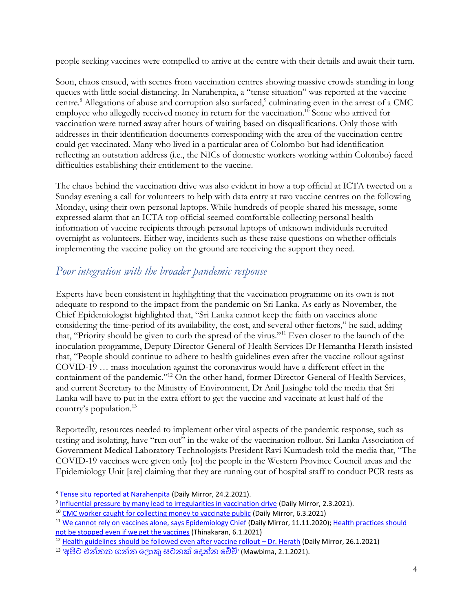people seeking vaccines were compelled to arrive at the centre with their details and await their turn.

Soon, chaos ensued, with scenes from vaccination centres showing massive crowds standing in long queues with little social distancing. In Narahenpita, a "tense situation" was reported at the vaccine centre.<sup>8</sup> Allegations of abuse and corruption also surfaced,<sup>9</sup> culminating even in the arrest of a CMC employee who allegedly received money in return for the vaccination.<sup>10</sup> Some who arrived for vaccination were turned away after hours of waiting based on disqualifications. Only those with addresses in their identification documents corresponding with the area of the vaccination centre could get vaccinated. Many who lived in a particular area of Colombo but had identification reflecting an outstation address (i.e., the NICs of domestic workers working within Colombo) faced difficulties establishing their entitlement to the vaccine.

The chaos behind the vaccination drive was also evident in how a top official at ICTA tweeted on a Sunday evening a call for volunteers to help with data entry at two vaccine centres on the following Monday, using their own personal laptops. While hundreds of people shared his message, some expressed alarm that an ICTA top official seemed comfortable collecting personal health information of vaccine recipients through personal laptops of unknown individuals recruited overnight as volunteers. Either way, incidents such as these raise questions on whether officials implementing the vaccine policy on the ground are receiving the support they need.

#### *Poor integration with the broader pandemic response*

Experts have been consistent in highlighting that the vaccination programme on its own is not adequate to respond to the impact from the pandemic on Sri Lanka. As early as November, the Chief Epidemiologist highlighted that, "Sri Lanka cannot keep the faith on vaccines alone considering the time-period of its availability, the cost, and several other factors," he said, adding that, "Priority should be given to curb the spread of the virus."<sup>11</sup> Even closer to the launch of the inoculation programme, Deputy Director-General of Health Services Dr Hemantha Herath insisted that, "People should continue to adhere to health guidelines even after the vaccine rollout against COVID-19 … mass inoculation against the coronavirus would have a different effect in the containment of the pandemic."<sup>12</sup> On the other hand, former Director-General of Health Services, and current Secretary to the Ministry of Environment, Dr Anil Jasinghe told the media that Sri Lanka will have to put in the extra effort to get the vaccine and vaccinate at least half of the country's population.<sup>13</sup>

Reportedly, resources needed to implement other vital aspects of the pandemic response, such as testing and isolating, have "run out" in the wake of the vaccination rollout. Sri Lanka Association of Government Medical Laboratory Technologists President Ravi Kumudesh told the media that, "The COVID-19 vaccines were given only [to] the people in the Western Province Council areas and the Epidemiology Unit [are] claiming that they are running out of hospital staff to conduct PCR tests as

<sup>&</sup>lt;sup>8</sup> [Tense situ reported at Narahenpita](http://www.dailymirror.lk/breaking_news/Tense-situ-reported-at-Narahenpita/108-206516) (Daily Mirror, 24.2.2021).

<sup>&</sup>lt;sup>9</sup> [Influential pressure by many lead to irregularities in vaccination drive](http://www.dailymirror.lk/print/front_page/Influential-pressure-by-many-lead-to-irregularities-in-vaccination-drive/238-206800) (Daily Mirror, 2.3.2021).

<sup>&</sup>lt;sup>10</sup> [CMC worker caught for collecting money to vaccinate public](http://www.dailymirror.lk/breaking_news/CMC-worker-caught-for-collecting-money-to-vaccinate-public/108-207182) (Daily Mirror, 6.3.2021)

<sup>&</sup>lt;sup>11</sup> [We cannot rely on vaccines alone, says Epidemiology Chief](http://www.dailymirror.lk/print/front_page/WE-canNOt-RELY-ON-vaccines-alone-says-Epidemiology-Chief/238-199643) (Daily Mirror, 11.11.2020); Health practices should [not be stopped even if we get the vaccines](http://epaper.thinakaran.lk/Home/ShareArticle?OrgId=08b1cbcd&imageview=1) (Thinakaran, 6.1.2021)

<sup>&</sup>lt;sup>12</sup> [Health guidelines should be followed even after vaccine rollout](http://www.dailymirror.lk/print/front_page/Health-guidelines-should-be-followed-even-after-vaccine-rollout-Dr-Herath/238-204458) - Dr. Herath (Daily Mirror, 26.1.2021)

<sup>&</sup>lt;u>13 'අපිට [එන්නත](https://mawbima.lk/news/27/news-more/75451) ගන්න ලොකු සටනක් දෙන්න වේවි'</u> (Mawbima, 2.1.2021).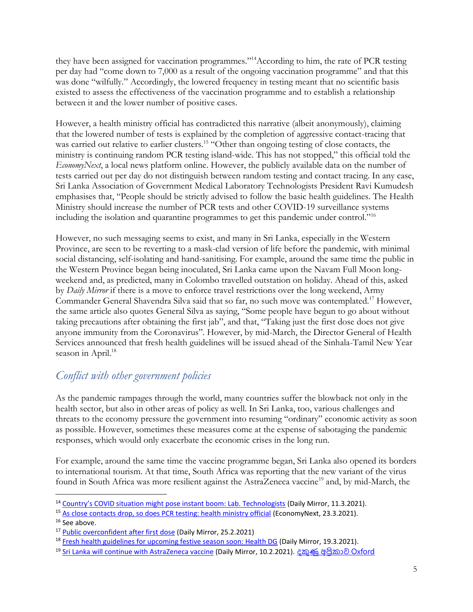they have been assigned for vaccination programmes."<sup>14</sup>According to him, the rate of PCR testing per day had "come down to 7,000 as a result of the ongoing vaccination programme" and that this was done "wilfully." Accordingly, the lowered frequency in testing meant that no scientific basis existed to assess the effectiveness of the vaccination programme and to establish a relationship between it and the lower number of positive cases.

However, a health ministry official has contradicted this narrative (albeit anonymously), claiming that the lowered number of tests is explained by the completion of aggressive contact-tracing that was carried out relative to earlier clusters.<sup>15</sup> "Other than ongoing testing of close contacts, the ministry is continuing random PCR testing island-wide. This has not stopped," this official told the *EconomyNext*, a local news platform online. However, the publicly available data on the number of tests carried out per day do not distinguish between random testing and contact tracing. In any case, Sri Lanka Association of Government Medical Laboratory Technologists President Ravi Kumudesh emphasises that, "People should be strictly advised to follow the basic health guidelines. The Health Ministry should increase the number of PCR tests and other COVID-19 surveillance systems including the isolation and quarantine programmes to get this pandemic under control."<sup>16</sup>

However, no such messaging seems to exist, and many in Sri Lanka, especially in the Western Province, are seen to be reverting to a mask-clad version of life before the pandemic, with minimal social distancing, self-isolating and hand-sanitising. For example, around the same time the public in the Western Province began being inoculated, Sri Lanka came upon the Navam Full Moon longweekend and, as predicted, many in Colombo travelled outstation on holiday. Ahead of this, asked by *Daily Mirror* if there is a move to enforce travel restrictions over the long weekend, Army Commander General Shavendra Silva said that so far, no such move was contemplated.<sup>17</sup> However, the same article also quotes General Silva as saying, "Some people have begun to go about without taking precautions after obtaining the first jab", and that, "Taking just the first dose does not give anyone immunity from the Coronavirus". However, by mid-March, the Director General of Health Services announced that fresh health guidelines will be issued ahead of the Sinhala-Tamil New Year season in April.<sup>18</sup>

#### *Conflict with other government policies*

As the pandemic rampages through the world, many countries suffer the blowback not only in the health sector, but also in other areas of policy as well. In Sri Lanka, too, various challenges and threats to the economy pressure the government into resuming "ordinary" economic activity as soon as possible. However, sometimes these measures come at the expense of sabotaging the pandemic responses, which would only exacerbate the economic crises in the long run.

For example, around the same time the vaccine programme began, Sri Lanka also opened its borders to international tourism. At that time, South Africa was reporting that the new variant of the virus found in South Africa was more resilient against the AstraZeneca vaccine<sup>19</sup> and, by mid-March, the

<sup>&</sup>lt;sup>14</sup> [Country's COVID situation might pose instant boom: Lab. Technologists](http://www.dailymirror.lk/breaking_news/Countrys-COVID-situation-might-pose-instant-boom-Lab-Technologists/108-207518) (Daily Mirror, 11.3.2021).

<sup>&</sup>lt;sup>15</sup> [As close contacts drop, so does PCR testing: health ministry official](https://economynext.com/as-close-contacts-drop-so-does-pcr-testing-health-ministry-official-80053/) (EconomyNext, 23.3.2021).

<sup>&</sup>lt;sup>16</sup> See above.

<sup>17</sup> [Public overconfident after first dose](http://www.dailymirror.lk/print/front_page/Public-overconfident-after-first-dose/238-206554) (Daily Mirror, 25.2.2021)

<sup>&</sup>lt;sup>18</sup> [Fresh health guidelines for upcoming festive season soon: Health DG](http://www.dailymirror.lk/breaking_news/Fresh-health-guidelines-for-upcoming-festive-season-soon-Health-DG/108-208108) (Daily Mirror, 19.3.2021).

<sup>&</sup>lt;sup>19</sup> Sri [Lanka will continue with AstraZeneca vaccine](http://www.dailymirror.lk/print/front_page/Sri-Lanka-will-continue-with-AstraZeneca-vaccine/238-205491) (Daily Mirror, 10.2.2021). <u>දකුණු අපිකාව Oxford</u>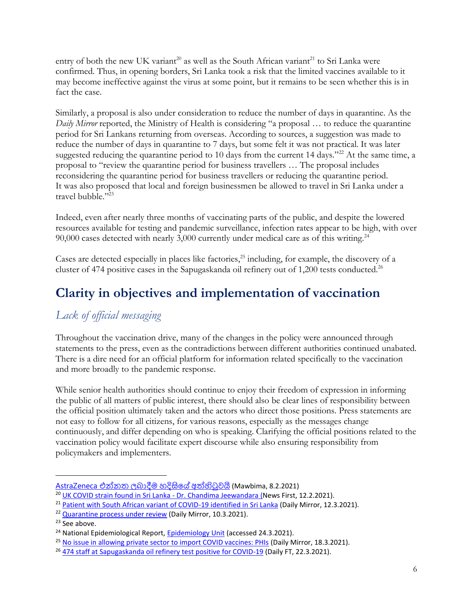entry of both the new UK variant<sup>20</sup> as well as the South African variant<sup>21</sup> to Sri Lanka were confirmed. Thus, in opening borders, Sri Lanka took a risk that the limited vaccines available to it may become ineffective against the virus at some point, but it remains to be seen whether this is in fact the case.

Similarly, a proposal is also under consideration to reduce the number of days in quarantine. As the *Daily Mirror* reported, the Ministry of Health is considering "a proposal … to reduce the quarantine period for Sri Lankans returning from overseas. According to sources, a suggestion was made to reduce the number of days in quarantine to 7 days, but some felt it was not practical. It was later suggested reducing the quarantine period to 10 days from the current 14 days."<sup>22</sup> At the same time, a proposal to "review the quarantine period for business travellers … The proposal includes reconsidering the quarantine period for business travellers or reducing the quarantine period. It was also proposed that local and foreign businessmen be allowed to travel in Sri Lanka under a travel bubble."<sup>23</sup>

Indeed, even after nearly three months of vaccinating parts of the public, and despite the lowered resources available for testing and pandemic surveillance, infection rates appear to be high, with over 90,000 cases detected with nearly 3,000 currently under medical care as of this writing.<sup>24</sup>

Cases are detected especially in places like factories,<sup>25</sup> including, for example, the discovery of a cluster of 474 positive cases in the Sapugaskanda oil refinery out of 1,200 tests conducted.<sup>26</sup>

# **Clarity in objectives and implementation of vaccination**

#### *Lack of official messaging*

Throughout the vaccination drive, many of the changes in the policy were announced through statements to the press, even as the contradictions between different authorities continued unabated. There is a dire need for an official platform for information related specifically to the vaccination and more broadly to the pandemic response.

While senior health authorities should continue to enjoy their freedom of expression in informing the public of all matters of public interest, there should also be clear lines of responsibility between the official position ultimately taken and the actors who direct those positions. Press statements are not easy to follow for all citizens, for various reasons, especially as the messages change continuously, and differ depending on who is speaking. Clarifying the official positions related to the vaccination policy would facilitate expert discourse while also ensuring responsibility from policymakers and implementers.

AstraZeneca [එන්නත බොදීම](https://mawbima.lk/news/27/news-more/77693) හදිසිලේ අත්හිටුවයි (Mawbima, 8.2.2021)

<sup>20</sup> [UK COVID strain found in Sri Lanka -](https://www.newsfirst.lk/2021/02/12/uk-covid-strain-found-in-sri-lanka-dr-chandima-jeewandara/) Dr. Chandima Jeewandara (News First, 12.2.2021).

<sup>&</sup>lt;sup>21</sup> [Patient with South African variant of COVID-19 identified in Sri Lanka](http://www.dailymirror.lk/breaking_news/Patient-with-South-African-variant-of-COVID-19-identified-in-Sri-Lanka/108-207597) (Daily Mirror, 12.3.2021).

<sup>&</sup>lt;sup>22</sup> [Quarantine process under review](http://www.dailymirror.lk/print/front_page/Quarantine-process-under-review/238-207414) (Daily Mirror, 10.3.2021).

<sup>&</sup>lt;sup>23</sup> See above.

<sup>&</sup>lt;sup>24</sup> National Epidemiological Report[, Epidemiology Unit](http://www.epid.gov.lk/web/index.php?lang=en) (accessed 24.3.2021).

<sup>&</sup>lt;sup>25</sup> [No issue in allowing private sector to import COVID vaccines: PHIs](http://www.dailymirror.lk/breaking_news/No-issue-in-allowing-private-sector-to-import-COVID-vaccines-PHIs/108-208036) (Daily Mirror, 18.3.2021).

<sup>&</sup>lt;sup>26</sup> [474 staff at Sapugaskanda oil refinery test positive for COVID-19](http://www.ft.lk/news/474-staff-at-Sapugaskanda-oil-refinery-test-positive-for-COVID-19/56-715136) (Daily FT, 22.3.2021).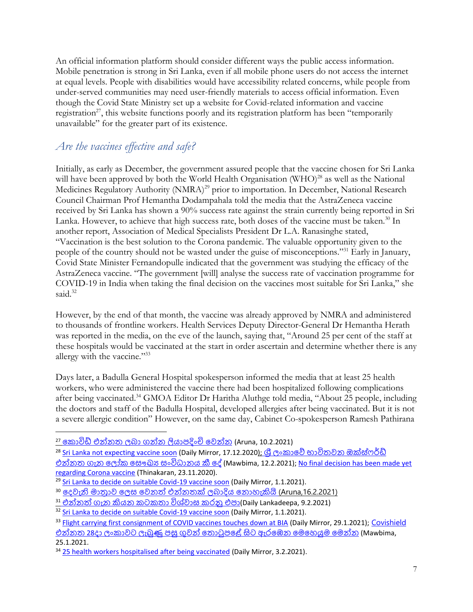An official information platform should consider different ways the public access information. Mobile penetration is strong in Sri Lanka, even if all mobile phone users do not access the internet at equal levels. People with disabilities would have accessibility related concerns, while people from under-served communities may need user-friendly materials to access official information. Even though the Covid State Ministry set up a website for Covid-related information and vaccine registration<sup>27</sup>, this website functions poorly and its registration platform has been "temporarily unavailable" for the greater part of its existence.

### *Are the vaccines effective and safe?*

Initially, as early as December, the government assured people that the vaccine chosen for Sri Lanka will have been approved by both the World Health Organisation (WHO)<sup>28</sup> as well as the National Medicines Regulatory Authority (NMRA)<sup>29</sup> prior to importation. In December, National Research Council Chairman Prof Hemantha Dodampahala told the media that the AstraZeneca vaccine received by Sri Lanka has shown a 90% success rate against the strain currently being reported in Sri Lanka. However, to achieve that high success rate, both doses of the vaccine must be taken.<sup>30</sup> In another report, Association of Medical Specialists President Dr L.A. Ranasinghe stated, "Vaccination is the best solution to the Corona pandemic. The valuable opportunity given to the people of the country should not be wasted under the guise of misconceptions."<sup>31</sup> Early in January, Covid State Minister Fernandopulle indicated that the government was studying the efficacy of the AstraZeneca vaccine. "The government [will] analyse the success rate of vaccination programme for COVID-19 in India when taking the final decision on the vaccines most suitable for Sri Lanka," she said.<sup>32</sup>

However, by the end of that month, the vaccine was already approved by NMRA and administered to thousands of frontline workers. Health Services Deputy Director-General Dr Hemantha Herath was reported in the media, on the eve of the launch, saying that, "Around 25 per cent of the staff at these hospitals would be vaccinated at the start in order ascertain and determine whether there is any allergy with the vaccine."<sup>33</sup>

Days later, a Badulla General Hospital spokesperson informed the media that at least 25 health workers, who were administered the vaccine there had been hospitalized following complications after being vaccinated.<sup>34</sup> GMOA Editor Dr Haritha Aluthge told media, "About 25 people, including the doctors and staff of the Badulla Hospital, developed allergies after being vaccinated. But it is not a severe allergic condition" However, on the same day, Cabinet Co-spokesperson Ramesh Pathirana

<sup>28</sup> [Sri Lanka not expecting vaccine soon](http://www.dailymirror.lk/print/front_page/Sri-Lanka-not-expecting-vaccine-soon/238-201989) (Daily Mirror, 17.12.2020); ශී ලංකාවේ භාවිතවන ඔක්ස්ෆර්ඩ් එන්නත ගැන ලෝක සෞඛා සංවිධානය කී දේ (Mawbima, 12.2.2021); No final decision has been made yet [regarding Corona vaccine](http://epaper.thinakaran.lk/Home/ShareArticle?OrgId=aee8fced&imageview=1) (Thinakaran, 23.11.2020).

<sup>&</sup>lt;u><sup>27</sup> කොවිඩ් එන්නත ලබා ගන්න ලියාපදිංචි වෙන්න</u> (Aruna, 10.2.2021)

<sup>&</sup>lt;sup>29</sup> [Sri Lanka to decide on suitable Covid-19 vaccine soon](http://www.dailymirror.lk/print/front_page/Sri-Lanka-to-decide-on-suitable-Covid-19-vaccine-soon/238-202865) (Daily Mirror, 1.1.2021).

 $^{\overline{30}}$  දෙවැනි මාතාව ලෙස වෙනත් එන්නතක් ලබාදිය නොහැකියි (Aruna,16.2.2021) .

 $^{31}$  එන්නත් ගැන කියන කටකතා විශ්වාස කරනු එපා(Daily Lankadeepa, 9.2.2021)

<sup>&</sup>lt;sup>32</sup> [Sri Lanka to decide on suitable Covid-19 vaccine soon](http://www.dailymirror.lk/print/front_page/Sri-Lanka-to-decide-on-suitable-Covid-19-vaccine-soon/238-202865) (Daily Mirror, 1.1.2021).

<sup>33</sup> [Flight carrying first consignment of COVID vaccines touches down at BIA](http://www.dailymirror.lk/print/front_page/Flight-carrying-first-consignment-of-COVID-vaccines-touches-down-at-BIA/238-204697) (Daily Mirror, 29.1.2021); Covishield එන්නත 28[ෙො ිංකොවට ැබුණු](https://mawbima.lk/news/27/news-more/76439) පසු ගුවන් ලතොටුපලේ සිට ඇරලෙන ලමලහයුම ලමන්න (Mawbima, 25.1.2021.

<sup>&</sup>lt;sup>34</sup> [25 health workers hospitalised after being vaccinated](http://www.dailymirror.lk/print/front_page/25-health-workers-hospitalised-after-being-vaccinated/238-205042) (Daily Mirror, 3.2.2021).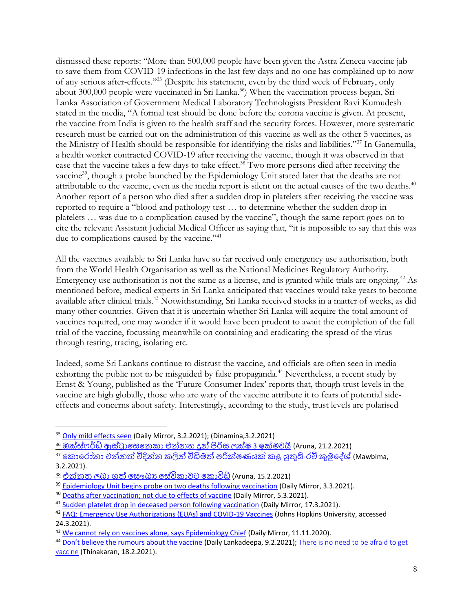dismissed these reports: "More than 500,000 people have been given the Astra Zeneca vaccine jab to save them from COVID-19 infections in the last few days and no one has complained up to now of any serious after-effects."<sup>35</sup> (Despite his statement, even by the third week of February, only about 300,000 people were vaccinated in Sri Lanka.<sup>36</sup>) When the vaccination process began, Sri Lanka Association of Government Medical Laboratory Technologists President Ravi Kumudesh stated in the media, "A formal test should be done before the corona vaccine is given. At present, the vaccine from India is given to the health staff and the security forces. However, more systematic research must be carried out on the administration of this vaccine as well as the other 5 vaccines, as the Ministry of Health should be responsible for identifying the risks and liabilities."<sup>37</sup> In Ganemulla, a health worker contracted COVID-19 after receiving the vaccine, though it was observed in that case that the vaccine takes a few days to take effect.<sup>38</sup> Two more persons died after receiving the vaccine<sup>39</sup>, though a probe launched by the Epidemiology Unit stated later that the deaths are not attributable to the vaccine, even as the media report is silent on the actual causes of the two deaths.<sup>40</sup> Another report of a person who died after a sudden drop in platelets after receiving the vaccine was reported to require a "blood and pathology test … to determine whether the sudden drop in platelets … was due to a complication caused by the vaccine", though the same report goes on to cite the relevant Assistant Judicial Medical Officer as saying that, "it is impossible to say that this was due to complications caused by the vaccine."<sup>41</sup>

All the vaccines available to Sri Lanka have so far received only emergency use authorisation, both from the World Health Organisation as well as the National Medicines Regulatory Authority. Emergency use authorisation is not the same as a license, and is granted while trials are ongoing.<sup>42</sup> As mentioned before, medical experts in Sri Lanka anticipated that vaccines would take years to become available after clinical trials.<sup>43</sup> Notwithstanding, Sri Lanka received stocks in a matter of weeks, as did many other countries. Given that it is uncertain whether Sri Lanka will acquire the total amount of vaccines required, one may wonder if it would have been prudent to await the completion of the full trial of the vaccine, focussing meanwhile on containing and eradicating the spread of the virus through testing, tracing, isolating etc.

Indeed, some Sri Lankans continue to distrust the vaccine, and officials are often seen in media exhorting the public not to be misguided by false propaganda.<sup>44</sup> Nevertheless, a recent study by Ernst & Young, published as the 'Future Consumer Index' reports that, though trust levels in the vaccine are high globally, those who are wary of the vaccine attribute it to fears of potential sideeffects and concerns about safety. Interestingly, according to the study, trust levels are polarised

36 ඔක්ස්ෆර්<u>ඩ් ඇස්ටාසෙනෙකා එන්නත දූන් පිරිස ලක්ෂ 3 [ඉක්මවයි](http://www.aruna.lk/%e0%b6%94%e0%b6%9a%e0%b7%8a%e0%b7%83%e0%b7%8a%e0%b7%86%e0%b6%bb%e0%b7%8a%e0%b6%a9%e0%b7%8a-%e0%b6%87%e0%b7%83%e0%b7%8a%e0%b6%a7%e0%b7%8a%e2%80%8d%e0%b6%bb%e0%b7%8f%e0%b7%83%e0%b7%99%e0%b6%b1%e0%b7%99/)</u> (Aruna, 21.2.2021)

<sup>37</sup> කොරෝනා එන්නත් විදින්න කලින් විධිමත් [පරීක්ෂණයක්](https://mawbima.lk/news/27/news-more/77436) කළ යුතුයි-රවී කුමුදේශ් (Mawbima, 3.2.2021).

<sup>35</sup> [Only mild effects seen](http://www.dailymirror.lk/print/front_page/Only-mild-effects-seen/238-205050) (Daily Mirror, 3.2.2021); (Dinamina,3.2.2021)

<sup>38</sup> [එන්නත බො](http://www.aruna.lk/%e0%b6%91%e0%b6%b1%e0%b7%8a%e0%b6%b1%e0%b6%ad-%e0%b6%bd%e0%b6%b6%e0%b7%8f-%e0%b6%9c%e0%b6%ad%e0%b7%8a-%e0%b7%83%e0%b7%9e%e0%b6%9b%e0%b7%8a%e2%80%8d%e0%b6%ba-%e0%b7%83%e0%b7%9a%e0%b7%80%e0%b7%92/) ගත්හ ලසෞඛ්ය ල්විකොවට [ලකොවිඩ්](http://www.aruna.lk/%e0%b6%91%e0%b6%b1%e0%b7%8a%e0%b6%b1%e0%b6%ad-%e0%b6%bd%e0%b6%b6%e0%b7%8f-%e0%b6%9c%e0%b6%ad%e0%b7%8a-%e0%b7%83%e0%b7%9e%e0%b6%9b%e0%b7%8a%e2%80%8d%e0%b6%ba-%e0%b7%83%e0%b7%9a%e0%b7%80%e0%b7%92/) (Aruna, 15.2.2021)

<sup>&</sup>lt;sup>39</sup> [Epidemiology Unit begins probe on two deaths following vaccination](http://www.dailymirror.lk/breaking_news/Epidemiology-Unit-begins-probe-on-two-deaths-following-vaccination/108-206948) (Daily Mirror, 3.3.2021).

<sup>40</sup> [Deaths after vaccination; not due to effects of vaccine](http://www.dailymirror.lk/breaking_news/Deaths-after-vaccination-not-due-to-effects-of-vaccine/108-207111) (Daily Mirror, 5.3.2021).

<sup>&</sup>lt;sup>41</sup> [Sudden platelet drop in deceased person following vaccination](http://www.dailymirror.lk/print/front_page/Sudden-platelet-drop-in-deceased-person-following-vaccination/238-207906) (Daily Mirror, 17.3.2021).

<sup>&</sup>lt;sup>42</sup> [FAQ: Emergency Use Authorizations \(EUAs\) and COVID-19 Vaccines](https://coronavirus.jhu.edu/vaccines/blog/faq-emergency-use-authorizations-eu-as-and-covid-19-vaccines) (Johns Hopkins University, accessed 24.3.2021).

<sup>&</sup>lt;sup>43</sup> We cannot [rely on vaccines alone, says Epidemiology Chief](http://www.dailymirror.lk/print/front_page/WE-canNOt-RELY-ON-vaccines-alone-says-Epidemiology-Chief/238-199643) (Daily Mirror, 11.11.2020).

<sup>44</sup> [Don't believe the rumours about the vaccine](http://www.lankadeepa.lk/latest_news/%E0%B6%91%E0%B6%B1%E0%B7%8A%E0%B6%B1%E0%B6%AD%E0%B7%8A-%E0%B6%9C%E0%B7%90%E0%B6%B1-%E0%B6%9A%E0%B7%92%E0%B6%BA%E0%B6%B1-%E0%B6%9A%E0%B6%A7%E0%B6%9A%E0%B6%AD%E0%B7%8F-%E0%B7%80%E0%B7%92%E0%B7%81%E0%B7%8A%E0%B7%80%E0%B7%8F%E0%B7%83-%E0%B6%9A%E0%B6%BB%E0%B6%B1%E0%B7%94-%E0%B6%91%E0%B6%B4%E0%B7%8F/1-585833) (Daily Lankadeepa, 9.2.2021); There is no need to be afraid to get [vaccine](http://epaper.thinakaran.lk/Home/ShareArticle?OrgId=7f2caec7&imageview=1) (Thinakaran, 18.2.2021).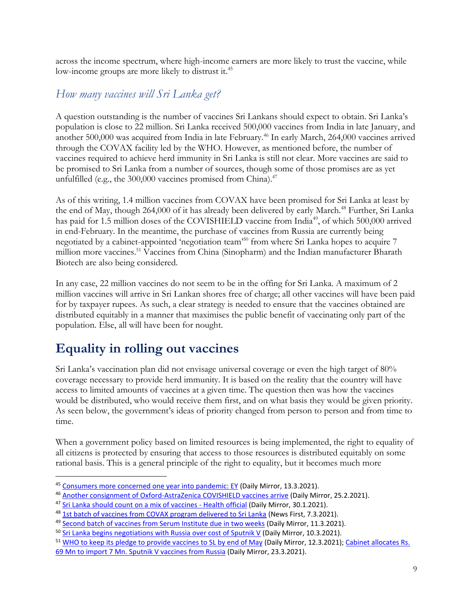across the income spectrum, where high-income earners are more likely to trust the vaccine, while low-income groups are more likely to distrust it.<sup>45</sup>

#### *How many vaccines will Sri Lanka get?*

A question outstanding is the number of vaccines Sri Lankans should expect to obtain. Sri Lanka's population is close to 22 million. Sri Lanka received 500,000 vaccines from India in late January, and another 500,000 was acquired from India in late February.<sup>46</sup> In early March, 264,000 vaccines arrived through the COVAX facility led by the WHO. However, as mentioned before, the number of vaccines required to achieve herd immunity in Sri Lanka is still not clear. More vaccines are said to be promised to Sri Lanka from a number of sources, though some of those promises are as yet unfulfilled (e.g., the  $300,000$  vaccines promised from China).<sup>47</sup>

As of this writing, 1.4 million vaccines from COVAX have been promised for Sri Lanka at least by the end of May, though 264,000 of it has already been delivered by early March.<sup>48</sup> Further, Sri Lanka has paid for 1.5 million doses of the COVISHIELD vaccine from India<sup>49</sup>, of which 500,000 arrived in end-February. In the meantime, the purchase of vaccines from Russia are currently being negotiated by a cabinet-appointed 'negotiation team'<sup>50</sup> from where Sri Lanka hopes to acquire 7 million more vaccines.<sup>51</sup> Vaccines from China (Sinopharm) and the Indian manufacturer Bharath Biotech are also being considered.

In any case, 22 million vaccines do not seem to be in the offing for Sri Lanka. A maximum of 2 million vaccines will arrive in Sri Lankan shores free of charge; all other vaccines will have been paid for by taxpayer rupees. As such, a clear strategy is needed to ensure that the vaccines obtained are distributed equitably in a manner that maximises the public benefit of vaccinating only part of the population. Else, all will have been for nought.

## **Equality in rolling out vaccines**

Sri Lanka's vaccination plan did not envisage universal coverage or even the high target of 80% coverage necessary to provide herd immunity. It is based on the reality that the country will have access to limited amounts of vaccines at a given time. The question then was how the vaccines would be distributed, who would receive them first, and on what basis they would be given priority. As seen below, the government's ideas of priority changed from person to person and from time to time.

When a government policy based on limited resources is being implemented, the right to equality of all citizens is protected by ensuring that access to those resources is distributed equitably on some rational basis. This is a general principle of the right to equality, but it becomes much more

<sup>45</sup> [Consumers more concerned one year into pandemic: EY](http://www.dailymirror.lk/business-news/Consumers-more-concerned-one-year-into-pandemic-EY/273-207657) (Daily Mirror, 13.3.2021).

<sup>46</sup> [Another consignment of Oxford-AstraZenica COVISHIELD vaccines arrive](http://www.dailymirror.lk/breaking_news/Another-consignment-of-Oxford-AstraZenica-COVISHIELD-vaccines-arrive/108-206601) (Daily Mirror, 25.2.2021).

<sup>&</sup>lt;sup>47</sup> [Sri Lanka should count on a mix of vaccines -](http://www.dailymirror.lk/print/front_page/Sri-Lanka-should-count-on-a-mix-of-vaccines-Health-official/238-204762) Health official (Daily Mirror, 30.1.2021).

<sup>48</sup> [1st batch of vaccines from COVAX program delivered to Sri Lanka](https://www.newsfirst.lk/2021/03/07/01st-batch-of-vaccines-from-covax-program-delivered-to-sri-lanka/) (News First, 7.3.2021).

<sup>&</sup>lt;sup>49</sup> [Second batch of vaccines from Serum Institute due in two weeks](http://www.dailymirror.lk/breaking_news/Second-batch-of-vaccines-from-Serum-Institute-due-in-two-weeks/108-207524) (Daily Mirror, 11.3.2021).

<sup>&</sup>lt;sup>50</sup> [Sri Lanka begins negotiations with Russia over cost of Sputnik V](http://www.dailymirror.lk/print/front_page/Sri-Lanka-begins-negotiations-with-Russia-over-cost-of-Sputnik-V/238-207416) (Daily Mirror, 10.3.2021).

<sup>&</sup>lt;sup>51</sup> [WHO to keep its pledge to provide vaccines to SL by end of May](http://www.dailymirror.lk/print/front_page/WHO-to-keep-its-pledge-to-provide-vaccines-to-SL-by-end-of-May/238-207550) (Daily Mirror, 12.3.2021); Cabinet allocates Rs. [69 Mn to import 7 Mn. Sputnik V vaccines from Russia](http://www.dailymirror.lk/breaking_news/Cabinet-allocates-Rs-69-Mn-to-import-7-Mn-Sputnik-V-vaccines-from-Russia/108-208410) (Daily Mirror, 23.3.2021).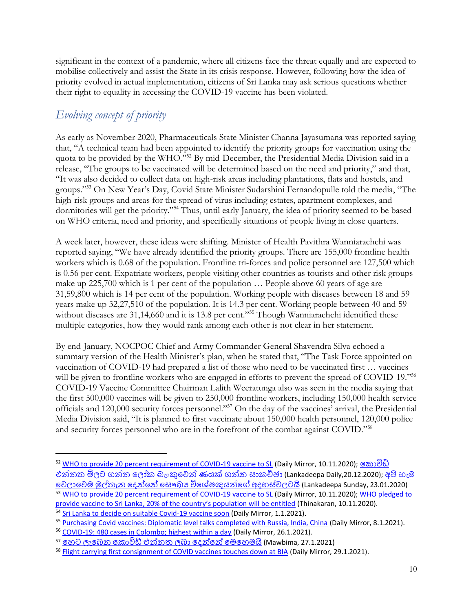significant in the context of a pandemic, where all citizens face the threat equally and are expected to mobilise collectively and assist the State in its crisis response. However, following how the idea of priority evolved in actual implementation, citizens of Sri Lanka may ask serious questions whether their right to equality in accessing the COVID-19 vaccine has been violated.

## *Evolving concept of priority*

As early as November 2020, Pharmaceuticals State Minister Channa Jayasumana was reported saying that, "A technical team had been appointed to identify the priority groups for vaccination using the quota to be provided by the WHO."<sup>52</sup> By mid-December, the Presidential Media Division said in a release, "The groups to be vaccinated will be determined based on the need and priority," and that, "It was also decided to collect data on high-risk areas including plantations, flats and hostels, and groups."<sup>53</sup> On New Year's Day, Covid State Minister Sudarshini Fernandopulle told the media, "The high-risk groups and areas for the spread of virus including estates, apartment complexes, and dormitories will get the priority."<sup>54</sup> Thus, until early January, the idea of priority seemed to be based on WHO criteria, need and priority, and specifically situations of people living in close quarters.

A week later, however, these ideas were shifting. Minister of Health Pavithra Wanniarachchi was reported saying, "We have already identified the priority groups. There are 155,000 frontline health workers which is 0.68 of the population. Frontline tri-forces and police personnel are 127,500 which is 0.56 per cent. Expatriate workers, people visiting other countries as tourists and other risk groups make up 225,700 which is 1 per cent of the population … People above 60 years of age are 31,59,800 which is 14 per cent of the population. Working people with diseases between 18 and 59 years make up 32,27,510 of the population. It is 14.3 per cent. Working people between 40 and 59 without diseases are 31,14,660 and it is 13.8 per cent."<sup>555</sup> Though Wanniarachchi identified these multiple categories, how they would rank among each other is not clear in her statement.

By end-January, NOCPOC Chief and Army Commander General Shavendra Silva echoed a summary version of the Health Minister's plan, when he stated that, "The Task Force appointed on vaccination of COVID-19 had prepared a list of those who need to be vaccinated first … vaccines will be given to frontline workers who are engaged in efforts to prevent the spread of COVID-19."<sup>56</sup> COVID-19 Vaccine Committee Chairman Lalith Weeratunga also was seen in the media saying that the first 500,000 vaccines will be given to 250,000 frontline workers, including 150,000 health service officials and 120,000 security forces personnel."<sup>57</sup> On the day of the vaccines' arrival, the Presidential Media Division said, "It is planned to first vaccinate about 150,000 health personnel, 120,000 police and security forces personnel who are in the forefront of the combat against COVID."<sup>58</sup>

<sup>52</sup> [WHO to provide 20 percent requirement of COVID-19 vaccine to SL](http://www.dailymirror.lk/print/front_page/WHO-to-provide-20-percent-requirement-of-COVID-19-vaccine-to-SL/238-199573) (Daily Mirror, 10.11.2020); [ලකොවිඩ්](http://www.lankadeepa.lk/latest_news/%E0%B6%9A%E0%B7%9C%E0%B7%80%E0%B7%92%E0%B6%A9%E0%B7%8A-%E0%B6%91%E0%B6%B1%E0%B7%8A%E0%B6%B1%E0%B6%AD-%E0%B6%B8%E0%B7%92%E0%B6%BD%E0%B6%A7-%E0%B6%9C%E0%B6%B1%E0%B7%8A%E0%B6%B1-%E0%B6%BD%E0%B7%9D%E0%B6%9A-%E0%B6%B6%E0%B7%90%E0%B6%82%E0%B6%9A%E0%B7%94%E0%B7%80%E0%B7%99%E0%B6%B1%E0%B7%8A-%E0%B6%AB%E0%B6%BA%E0%B6%9A%E0%B7%8A-%E0%B6%9C%E0%B6%B1%E0%B7%8A%E0%B6%B1-%E0%B7%83%E0%B7%8F%E0%B6%9A%E0%B6%A0%E0%B7%8A%E0%B6%A1%E0%B7%8F/1-583580) එන්නත මිලට ගන්න ලෝක බැංකුවෙන් ණයක් ගන්න සාකච්ඡා (Lankadeepa Daily,20.12.2020); අපි [හැම](http://www.lankadeepa.lk/sunday/politics/%E0%B6%85%E0%B6%B4%E0%B7%92-%E0%B7%84%E0%B7%90%E0%B6%B8-%E0%B7%80%E0%B7%99%E0%B6%BD%E0%B7%8F%E0%B7%80%E0%B7%99%E0%B6%B8-%E0%B6%B8%E0%B7%94%E0%B6%BD%E0%B7%8A%E0%B6%AD%E0%B7%90%E0%B6%B1-%E0%B6%AF%E0%B7%99%E0%B6%B1%E0%B7%8A%E0%B6%B1%E0%B7%9A-%E0%B7%83%E0%B7%9E%E0%B6%9B%E0%B7%8A%E2%80%8D%E0%B6%BA-%E0%B7%80%E0%B7%92%E0%B7%81%E0%B7%9A%E0%B7%82%E0%B6%A5%E0%B6%BA%E0%B6%B1%E0%B7%8A%E0%B6%9C%E0%B7%9A-%E0%B6%85%E0%B6%AF%E0%B7%84%E0%B7%83%E0%B7%8A%E0%B7%80%E0%B6%BD%E0%B6%A7%E0%B6%BA%E0%B7%92/54-585132) ලව ොලවම මුල්තැන ලෙන්ලන් ලසෞඛ්ය [විලශ්ෂඥයන්ලේ](http://www.lankadeepa.lk/sunday/politics/%E0%B6%85%E0%B6%B4%E0%B7%92-%E0%B7%84%E0%B7%90%E0%B6%B8-%E0%B7%80%E0%B7%99%E0%B6%BD%E0%B7%8F%E0%B7%80%E0%B7%99%E0%B6%B8-%E0%B6%B8%E0%B7%94%E0%B6%BD%E0%B7%8A%E0%B6%AD%E0%B7%90%E0%B6%B1-%E0%B6%AF%E0%B7%99%E0%B6%B1%E0%B7%8A%E0%B6%B1%E0%B7%9A-%E0%B7%83%E0%B7%9E%E0%B6%9B%E0%B7%8A%E2%80%8D%E0%B6%BA-%E0%B7%80%E0%B7%92%E0%B7%81%E0%B7%9A%E0%B7%82%E0%B6%A5%E0%B6%BA%E0%B6%B1%E0%B7%8A%E0%B6%9C%E0%B7%9A-%E0%B6%85%E0%B6%AF%E0%B7%84%E0%B7%83%E0%B7%8A%E0%B7%80%E0%B6%BD%E0%B6%A7%E0%B6%BA%E0%B7%92/54-585132) අෙහ්ව ටයි (Lankadeepa Sunday, 23.01.2020) <sup>53</sup> [WHO to provide 20 percent requirement of COVID-19 vaccine to SL](http://www.dailymirror.lk/print/front_page/WHO-to-provide-20-percent-requirement-of-COVID-19-vaccine-to-SL/238-199573) (Daily Mirror, 10.11.2020); [WHO pledged to](http://epaper.thinakaran.lk/Home/ShareArticle?OrgId=7a0c11a0&imageview=1)  [provide vaccine to Sri Lanka, 20% of the country's population will be entitled](http://epaper.thinakaran.lk/Home/ShareArticle?OrgId=7a0c11a0&imageview=1) (Thinakaran, 10.11.2020).

<sup>&</sup>lt;sup>54</sup> [Sri Lanka to decide on suitable Covid-19 vaccine soon](http://www.dailymirror.lk/print/front_page/Sri-Lanka-to-decide-on-suitable-Covid-19-vaccine-soon/238-202865) (Daily Mirror, 1.1.2021).

<sup>55</sup> [Purchasing Covid vaccines: Diplomatic level talks completed with Russia, India, China](http://www.dailymirror.lk/print/front_page/Purchasing-Covid-vaccines-Diplomatic-level-talks-completed-with-Russia-India-China/238-203356) (Daily Mirror, 8.1.2021).

<sup>&</sup>lt;sup>56</sup> [COVID-19: 480 cases in Colombo; highest within a day](http://www.dailymirror.lk/print/front_page/COVID-19-480-cases-in-Colombo-highest-within-a-day/238-204467) (Daily Mirror, 26.1.2021).

<sup>&</sup>lt;sup>57</sup> හෙට ලැබෙන කොවිඩ් එන්නත ලබා දෙන්නේ මෙහෙමයි (Mawbima, 27.1.2021)

<sup>&</sup>lt;sup>58</sup> [Flight carrying first consignment of COVID vaccines touches down at BIA](http://www.dailymirror.lk/print/front_page/Flight-carrying-first-consignment-of-COVID-vaccines-touches-down-at-BIA/238-204697) (Daily Mirror, 29.1.2021).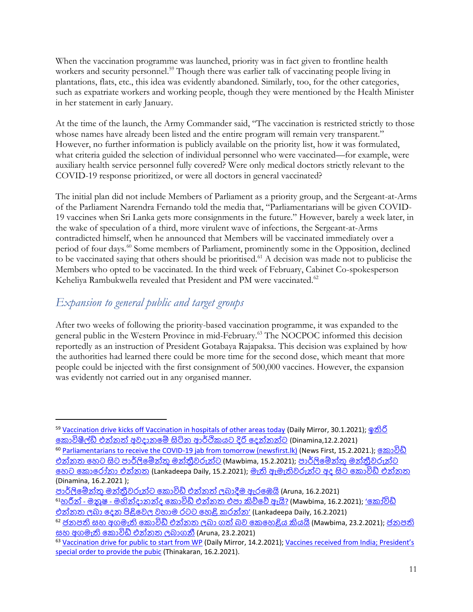When the vaccination programme was launched, priority was in fact given to frontline health workers and security personnel.<sup>59</sup> Though there was earlier talk of vaccinating people living in plantations, flats, etc., this idea was evidently abandoned. Similarly, too, for the other categories, such as expatriate workers and working people, though they were mentioned by the Health Minister in her statement in early January.

At the time of the launch, the Army Commander said, "The vaccination is restricted strictly to those whose names have already been listed and the entire program will remain very transparent." However, no further information is publicly available on the priority list, how it was formulated, what criteria guided the selection of individual personnel who were vaccinated—for example, were auxiliary health service personnel fully covered? Were only medical doctors strictly relevant to the COVID-19 response prioritized, or were all doctors in general vaccinated?

The initial plan did not include Members of Parliament as a priority group, and the Sergeant-at-Arms of the Parliament Narendra Fernando told the media that, "Parliamentarians will be given COVID-19 vaccines when Sri Lanka gets more consignments in the future." However, barely a week later, in the wake of speculation of a third, more virulent wave of infections, the Sergeant-at-Arms contradicted himself, when he announced that Members will be vaccinated immediately over a period of four days.<sup>60</sup> Some members of Parliament, prominently some in the Opposition, declined to be vaccinated saying that others should be prioritised.<sup>61</sup> A decision was made not to publicise the Members who opted to be vaccinated. In the third week of February, Cabinet Co-spokesperson Keheliya Rambukwella revealed that President and PM were vaccinated.<sup>62</sup>

#### *Expansion to general public and target groups*

After two weeks of following the priority-based vaccination programme, it was expanded to the general public in the Western Province in mid-February.<sup>63</sup> The NOCPOC informed this decision reportedly as an instruction of President Gotabaya Rajapaksa. This decision was explained by how the authorities had learned there could be more time for the second dose, which meant that more people could be injected with the first consignment of 500,000 vaccines. However, the expansion was evidently not carried out in any organised manner.

<sup>61</sup>හරින් - මනුෂ - මහින්දානන්ද කොවිඩ් එන්නත එපා කිව්වේ ඇයි[?](https://mawbima.lk/news/27/news-more/78411) (Mawbima, 16.2.2021); 'කෝවිඩ් එන්නත ලබා දෙන පිළිවෙල වහාම රටට හෙළි, කරන්න' (Lankadeepa Daily, 16.2.2021)

<sup>59</sup> [Vaccination drive kicks off Vaccination in hospitals of other areas today](http://www.dailymirror.lk/print/front_page/Vaccination-drive-kicks-off-Vaccination-in-hospitals-of-other-areas-today/238-204771) (Daily Mirror, 30.1.2021); [ඉතිරි](http://www.dinamina.lk/2021/02/12/%E0%B6%B4%E0%B7%94%E0%B7%80%E0%B6%AD%E0%B7%8A/115751/%E0%B6%89%E0%B6%AD%E0%B7%92%E0%B6%BB%E0%B7%92-%E0%B6%9A%E0%B7%9C%E0%B7%80%E0%B7%92%E0%B7%82%E0%B7%93%E0%B6%BD%E0%B7%8A%E0%B6%A9%E0%B7%8A-%E0%B6%91%E0%B6%B1%E0%B7%8A%E0%B6%B1%E0%B6%AD%E0%B7%8A-%E0%B6%85%E0%B7%80%E0%B6%AF%E0%B7%8F%E0%B6%B1%E0%B6%B8%E0%B7%9A-%E0%B7%83%E0%B7%92%E0%B6%A7%E0%B7%92%E0%B6%B1-%E0%B6%86%E0%B6%BB%E0%B7%8A%E0%B6%AE%E0%B7%92%E0%B6%9A%E0%B6%BA%E0%B6%A7-%E0%B6%AF%E0%B7%92%E0%B6%BB%E0%B7%92-%E0%B6%AF%E0%B7%99%E0%B6%B1%E0%B7%8A%E0%B6%B1%E0%B6%B1%E0%B7%8A%E0%B6%A7) [ලකොවිෂීල්ඩ්](http://www.dinamina.lk/2021/02/12/%E0%B6%B4%E0%B7%94%E0%B7%80%E0%B6%AD%E0%B7%8A/115751/%E0%B6%89%E0%B6%AD%E0%B7%92%E0%B6%BB%E0%B7%92-%E0%B6%9A%E0%B7%9C%E0%B7%80%E0%B7%92%E0%B7%82%E0%B7%93%E0%B6%BD%E0%B7%8A%E0%B6%A9%E0%B7%8A-%E0%B6%91%E0%B6%B1%E0%B7%8A%E0%B6%B1%E0%B6%AD%E0%B7%8A-%E0%B6%85%E0%B7%80%E0%B6%AF%E0%B7%8F%E0%B6%B1%E0%B6%B8%E0%B7%9A-%E0%B7%83%E0%B7%92%E0%B6%A7%E0%B7%92%E0%B6%B1-%E0%B6%86%E0%B6%BB%E0%B7%8A%E0%B6%AE%E0%B7%92%E0%B6%9A%E0%B6%BA%E0%B6%A7-%E0%B6%AF%E0%B7%92%E0%B6%BB%E0%B7%92-%E0%B6%AF%E0%B7%99%E0%B6%B1%E0%B7%8A%E0%B6%B1%E0%B6%B1%E0%B7%8A%E0%B6%A7) එන්නත්හ අවෙොනලේ සිටින ආර්ඩිකයට දිරි ලෙන්නන්ට (Dinamina,12.2.2021)

<sup>60</sup> [Parliamentarians to receive the COVID-19 jab from tomorrow \(newsfirst.lk\)](https://www.newsfirst.lk/2021/02/15/parliamentarians-to-receive-the-covid-19-jab-from-tomorrow/) (News First, 15.2.2021.); [ලකොවිඩ්](https://mawbima.lk/news/27/news-more/78267) <u>එන්නත හෙට සිට පාර්ලිමේන්තු මන්තීවරුන්ට</u> (Mawbima, 15.2.2021); පාර්ලිමේන්තු මන්තීවරුන්ට ලහට [ලකොලරෝනො](http://www.lankadeepa.lk/latest_news/%E0%B6%B4%E0%B7%8F%E0%B6%BB%E0%B7%8A%E0%B6%BD%E0%B7%92%E0%B6%B8%E0%B7%9A%E0%B6%B1%E0%B7%8A%E0%B6%AD%E0%B7%94-%E0%B6%B8%E0%B6%B1%E0%B7%8A%E0%B6%AD%E0%B7%8A%E2%80%8D%E0%B6%BB%E0%B7%93%E0%B7%80%E0%B6%BB%E0%B7%94%E0%B6%B1%E0%B7%8A%E0%B6%A7-%E0%B7%84%E0%B7%99%E0%B6%A7-%E0%B6%9A%E0%B7%9C%E0%B6%BB%E0%B7%9D%E0%B6%B1%E0%B7%8F-%E0%B6%91%E0%B6%B1%E0%B7%8A%E0%B6%B1%E0%B6%AD/1-586107) එන්නත (Lankadeepa Daily, 15.2.2021); මැති [ඇමැතිවරුන්ට](http://www.dinamina.lk/2021/02/16/%E0%B6%B4%E0%B7%94%E0%B7%80%E0%B6%AD%E0%B7%8A/116033/%E0%B6%B8%E0%B7%90%E0%B6%AD%E0%B7%92-%E0%B6%87%E0%B6%B8%E0%B7%90%E0%B6%AD%E0%B7%92%E0%B7%80%E0%B6%BB%E0%B7%94%E0%B6%B1%E0%B7%8A%E0%B6%A7-%E0%B6%85%E0%B6%AF-%E0%B7%83%E0%B7%92%E0%B6%A7-%E0%B6%9A%E0%B7%9C%E0%B7%80%E0%B7%92%E0%B6%A9%E0%B7%8A-%E0%B6%91%E0%B6%B1%E0%B7%8A%E0%B6%B1%E0%B6%AD) අෙ සිට ලකොවිඩ් එන්නත (Dinamina, 16.2.2021 );

පාර්ලිමේන්තු මන්තීුවරුන්ට කොවිඩ් එන්නත් ලබාදීම ඇරඹෙයි (Aruna, 16.2.2021)

<sup>&</sup>lt;sup>62</sup> [ජනපති](http://www.aruna.lk/%e0%b6%a2%e0%b6%b1%e0%b6%b4%e0%b6%ad%e0%b7%92-%e0%b7%83%e0%b7%84-%e0%b6%85%e0%b6%9c%e0%b6%b8%e0%b7%90%e0%b6%ad%e0%b7%92-%e0%b6%9a%e0%b7%9c%e0%b7%80%e0%b7%92%e0%b6%a9%e0%b7%8a-%e0%b6%91%e0%b6%b1/) සහ අගමැති කොවිඩ් එන්නත ලබා ගත් බව කෙහෙළිය කියයි (Mawbima, 23.2.2021); ජනපති සහ අගමැති ලකොවිඩ් [එන්නත බොගනී](http://www.aruna.lk/%e0%b6%a2%e0%b6%b1%e0%b6%b4%e0%b6%ad%e0%b7%92-%e0%b7%83%e0%b7%84-%e0%b6%85%e0%b6%9c%e0%b6%b8%e0%b7%90%e0%b6%ad%e0%b7%92-%e0%b6%9a%e0%b7%9c%e0%b7%80%e0%b7%92%e0%b6%a9%e0%b7%8a-%e0%b6%91%e0%b6%b1/) (Aruna, 23.2.2021)

<sup>63</sup> [Vaccination drive for public to start from WP](http://www.dailymirror.lk/breaking_news/Vaccination-drive-for-public-to-start-from-WP/108-205761) (Daily Mirror, 14.2.2021); Vaccines received from India; President's [special order to provide the pubic](http://epaper.thinakaran.lk/Home/ShareArticle?OrgId=f34ac376&imageview=1) (Thinakaran, 16.2.2021).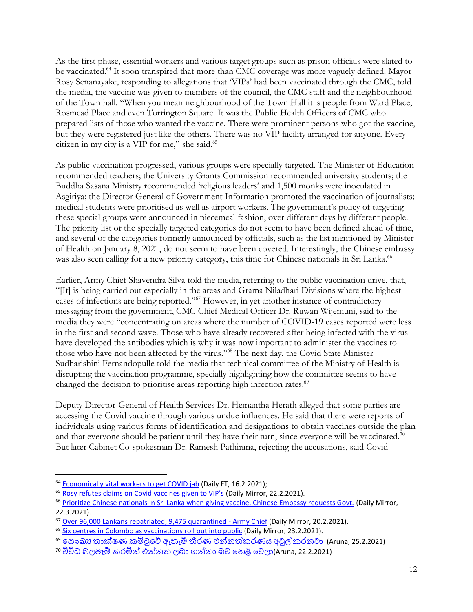As the first phase, essential workers and various target groups such as prison officials were slated to be vaccinated.<sup>64</sup> It soon transpired that more than CMC coverage was more vaguely defined. Mayor Rosy Senanayake, responding to allegations that 'VIPs' had been vaccinated through the CMC, told the media, the vaccine was given to members of the council, the CMC staff and the neighbourhood of the Town hall. "When you mean neighbourhood of the Town Hall it is people from Ward Place, Rosmead Place and even Torrington Square. It was the Public Health Officers of CMC who prepared lists of those who wanted the vaccine. There were prominent persons who got the vaccine, but they were registered just like the others. There was no VIP facility arranged for anyone. Every citizen in my city is a VIP for me," she said.<sup>65</sup>

As public vaccination progressed, various groups were specially targeted. The Minister of Education recommended teachers; the University Grants Commission recommended university students; the Buddha Sasana Ministry recommended 'religious leaders' and 1,500 monks were inoculated in Asgiriya; the Director General of Government Information promoted the vaccination of journalists; medical students were prioritised as well as airport workers. The government's policy of targeting these special groups were announced in piecemeal fashion, over different days by different people. The priority list or the specially targeted categories do not seem to have been defined ahead of time, and several of the categories formerly announced by officials, such as the list mentioned by Minister of Health on January 8, 2021, do not seem to have been covered. Interestingly, the Chinese embassy was also seen calling for a new priority category, this time for Chinese nationals in Sri Lanka.<sup>66</sup>

Earlier, Army Chief Shavendra Silva told the media, referring to the public vaccination drive, that, "[It] is being carried out especially in the areas and Grama Niladhari Divisions where the highest cases of infections are being reported."<sup>67</sup> However, in yet another instance of contradictory messaging from the government, CMC Chief Medical Officer Dr. Ruwan Wijemuni, said to the media they were "concentrating on areas where the number of COVID-19 cases reported were less in the first and second wave. Those who have already recovered after being infected with the virus have developed the antibodies which is why it was now important to administer the vaccines to those who have not been affected by the virus."<sup>68</sup> The next day, the Covid State Minister Sudharishini Fernandopulle told the media that technical committee of the Ministry of Health is disrupting the vaccination programme, specially highlighting how the committee seems to have changed the decision to prioritise areas reporting high infection rates.<sup>69</sup>

Deputy Director-General of Health Services Dr. Hemantha Herath alleged that some parties are accessing the Covid vaccine through various undue influences. He said that there were reports of individuals using various forms of identification and designations to obtain vaccines outside the plan and that everyone should be patient until they have their turn, since everyone will be vaccinated.<sup>70</sup> But later Cabinet Co-spokesman Dr. Ramesh Pathirana, rejecting the accusations, said Covid

<sup>&</sup>lt;sup>64</sup> [Economically vital workers to get COVID jab](http://www.ft.lk/front-page/Economically-vital-workers-to-get-COVID-jab/44-713238) (Daily FT, 16.2.2021);

<sup>&</sup>lt;sup>65</sup> [Rosy refutes claims on Covid vaccines given to VIP's](http://www.dailymirror.lk/print/front_page/Rosy-refutes-claims-on-Covid-vaccines-given-to-VIPs/238-206300) (Daily Mirror, 22.2.2021).

<sup>&</sup>lt;sup>66</sup> [Prioritize Chinese nationals in Sri Lanka when giving vaccine, Chinese Embassy requests Govt.](http://www.dailymirror.lk/breaking_news/Prioritize-Chinese-nationals-in-Sri-Lanka-when-giving-vaccine-Chinese-Embassy-requests-Govt/108-208232) (Daily Mirror, 22.3.2021).

<sup>67</sup> [Over 96,000 Lankans repatriated; 9,475 quarantined -](http://www.dailymirror.lk/print/front_page/Over-96-000-Lankans-repatriated-9-475-quarantined-Army-Chief/238-206190) Army Chief (Daily Mirror, 20.2.2021).

<sup>68</sup> [Six centres in Colombo as vaccinations roll out into public](http://www.dailymirror.lk/print/front_page/Six-centres-in-Colombo-as-vaccinations-roll-out-into-public/238-206391) (Daily Mirror, 23.2.2021).

<sup>&</sup>lt;sup>69</sup> සෞඛා <u>තාක්ෂණ කමිටුවේ ඇතැම් තීරණ එන්නත්කරණය අවුල් කරනවා</u> (Aruna, 25.2.2021)

<sup>&</sup>lt;sup>70</sup> විවිධ බලපෑම් කරමින් එන්නත ලබා ගන්නා බව හෙළි වෙලා(Aruna, 22.2.2021)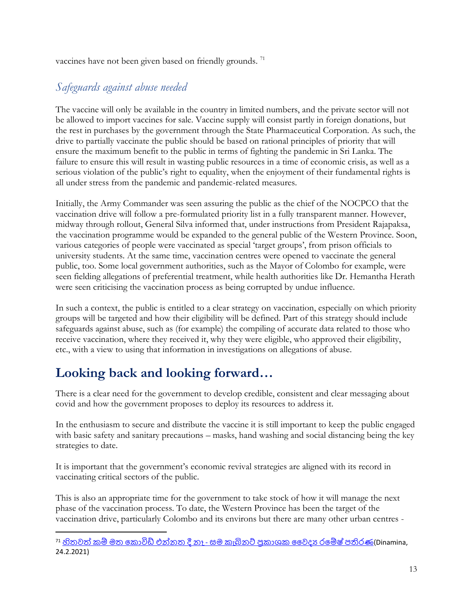vaccines have not been given based on friendly grounds.<sup>71</sup>

#### *Safeguards against abuse needed*

The vaccine will only be available in the country in limited numbers, and the private sector will not be allowed to import vaccines for sale. Vaccine supply will consist partly in foreign donations, but the rest in purchases by the government through the State Pharmaceutical Corporation. As such, the drive to partially vaccinate the public should be based on rational principles of priority that will ensure the maximum benefit to the public in terms of fighting the pandemic in Sri Lanka. The failure to ensure this will result in wasting public resources in a time of economic crisis, as well as a serious violation of the public's right to equality, when the enjoyment of their fundamental rights is all under stress from the pandemic and pandemic-related measures.

Initially, the Army Commander was seen assuring the public as the chief of the NOCPCO that the vaccination drive will follow a pre-formulated priority list in a fully transparent manner. However, midway through rollout, General Silva informed that, under instructions from President Rajapaksa, the vaccination programme would be expanded to the general public of the Western Province. Soon, various categories of people were vaccinated as special 'target groups', from prison officials to university students. At the same time, vaccination centres were opened to vaccinate the general public, too. Some local government authorities, such as the Mayor of Colombo for example, were seen fielding allegations of preferential treatment, while health authorities like Dr. Hemantha Herath were seen criticising the vaccination process as being corrupted by undue influence.

In such a context, the public is entitled to a clear strategy on vaccination, especially on which priority groups will be targeted and how their eligibility will be defined. Part of this strategy should include safeguards against abuse, such as (for example) the compiling of accurate data related to those who receive vaccination, where they received it, why they were eligible, who approved their eligibility, etc., with a view to using that information in investigations on allegations of abuse.

## **Looking back and looking forward…**

There is a clear need for the government to develop credible, consistent and clear messaging about covid and how the government proposes to deploy its resources to address it.

In the enthusiasm to secure and distribute the vaccine it is still important to keep the public engaged with basic safety and sanitary precautions – masks, hand washing and social distancing being the key strategies to date.

It is important that the government's economic revival strategies are aligned with its record in vaccinating critical sectors of the public.

This is also an appropriate time for the government to take stock of how it will manage the next phase of the vaccination process. To date, the Western Province has been the target of the vaccination drive, particularly Colombo and its environs but there are many other urban centres -

 $^{71}$  හිතුවත් කම් මත කොවිඩ් එන්නත දී නෑ - සම කැබිනට් පකාශක වෛදා රමේෂ් පතිරණ(Dinamina, 24.2.2021)